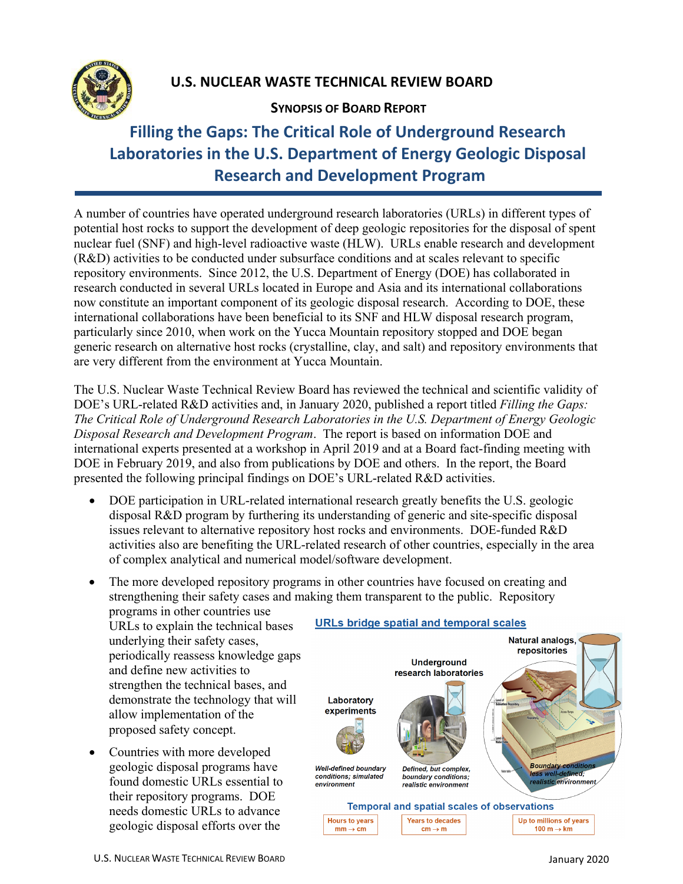

## **U.S. NUCLEAR WASTE TECHNICAL REVIEW BOARD**

### **SYNOPSIS OF BOARD REPORT**

# **Filling the Gaps: The Critical Role of Underground Research Laboratories in the U.S. Department of Energy Geologic Disposal Research and Development Program**

A number of countries have operated underground research laboratories (URLs) in different types of potential host rocks to support the development of deep geologic repositories for the disposal of spent nuclear fuel (SNF) and high-level radioactive waste (HLW). URLs enable research and development (R&D) activities to be conducted under subsurface conditions and at scales relevant to specific repository environments. Since 2012, the U.S. Department of Energy (DOE) has collaborated in research conducted in several URLs located in Europe and Asia and its international collaborations now constitute an important component of its geologic disposal research. According to DOE, these international collaborations have been beneficial to its SNF and HLW disposal research program, particularly since 2010, when work on the Yucca Mountain repository stopped and DOE began generic research on alternative host rocks (crystalline, clay, and salt) and repository environments that are very different from the environment at Yucca Mountain.

The U.S. Nuclear Waste Technical Review Board has reviewed the technical and scientific validity of DOE's URL-related R&D activities and, in January 2020, published a report titled *Filling the Gaps: The Critical Role of Underground Research Laboratories in the U.S. Department of Energy Geologic Disposal Research and Development Program*. The report is based on information DOE and international experts presented at a workshop in April 2019 and at a Board fact-finding meeting with DOE in February 2019, and also from publications by DOE and others. In the report, the Board presented the following principal findings on DOE's URL-related R&D activities.

- DOE participation in URL-related international research greatly benefits the U.S. geologic disposal R&D program by furthering its understanding of generic and site-specific disposal issues relevant to alternative repository host rocks and environments. DOE-funded R&D activities also are benefiting the URL-related research of other countries, especially in the area of complex analytical and numerical model/software development.
- The more developed repository programs in other countries have focused on creating and strengthening their safety cases and making them transparent to the public. Repository

 proposed safety concept. programs in other countries use URLs to explain the technical bases underlying their safety cases, periodically reassess knowledge gaps and define new activities to strengthen the technical bases, and demonstrate the technology that will allow implementation of the

• Countries with more developed geologic disposal programs have found domestic URLs essential to their repository programs. DOE needs domestic URLs to advance geologic disposal efforts over the

### **URLs bridge spatial and temporal scales**